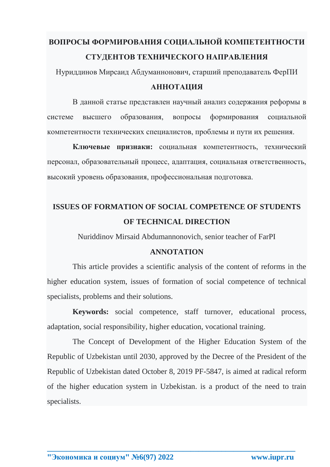# **ВОПРОСЫ ФОРМИРОВАНИЯ СОЦИАЛЬНОЙ КОМПЕТЕНТНОСТИ СТУДЕНТОВ ТЕХНИЧЕСКОГО НАПРАВЛЕНИЯ**

Нуриддинов Мирсаид Абдуманнонович, старший преподаватель ФерПИ

### **АННОТАЦИЯ**

В данной статье представлен научный анализ содержания реформы в системе высшего образования, вопросы формирования социальной компетентности технических специалистов, проблемы и пути их решения.

**Ключевые признаки:** социальная компетентность, технический персонал, образовательный процесс, адаптация, социальная ответственность, высокий уровень образования, профессиональная подготовка.

## **ISSUES OF FORMATION OF SOCIAL COMPETENCE OF STUDENTS OF TECHNICAL DIRECTION**

Nuriddinov Mirsaid Abdumannonovich, senior teacher of FarPI

#### **ANNOTATION**

This article provides a scientific analysis of the content of reforms in the higher education system, issues of formation of social competence of technical specialists, problems and their solutions.

**Keywords:** social competence, staff turnover, educational process, adaptation, social responsibility, higher education, vocational training.

The Concept of Development of the Higher Education System of the Republic of Uzbekistan until 2030, approved by the Decree of the President of the Republic of Uzbekistan dated October 8, 2019 PF-5847, is aimed at radical reform of the higher education system in Uzbekistan. is a product of the need to train specialists.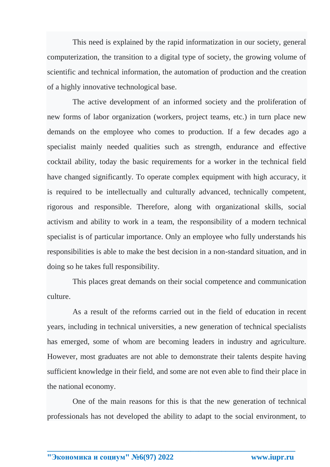This need is explained by the rapid informatization in our society, general computerization, the transition to a digital type of society, the growing volume of scientific and technical information, the automation of production and the creation of a highly innovative technological base.

The active development of an informed society and the proliferation of new forms of labor organization (workers, project teams, etc.) in turn place new demands on the employee who comes to production. If a few decades ago a specialist mainly needed qualities such as strength, endurance and effective cocktail ability, today the basic requirements for a worker in the technical field have changed significantly. To operate complex equipment with high accuracy, it is required to be intellectually and culturally advanced, technically competent, rigorous and responsible. Therefore, along with organizational skills, social activism and ability to work in a team, the responsibility of a modern technical specialist is of particular importance. Only an employee who fully understands his responsibilities is able to make the best decision in a non-standard situation, and in doing so he takes full responsibility.

This places great demands on their social competence and communication culture.

As a result of the reforms carried out in the field of education in recent years, including in technical universities, a new generation of technical specialists has emerged, some of whom are becoming leaders in industry and agriculture. However, most graduates are not able to demonstrate their talents despite having sufficient knowledge in their field, and some are not even able to find their place in the national economy.

One of the main reasons for this is that the new generation of technical professionals has not developed the ability to adapt to the social environment, to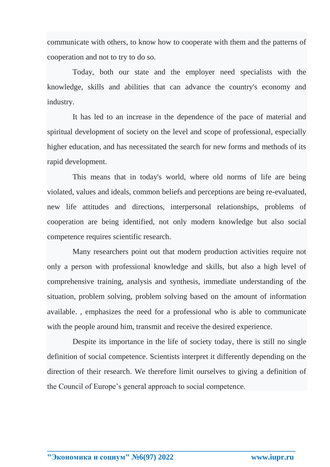communicate with others, to know how to cooperate with them and the patterns of cooperation and not to try to do so.

Today, both our state and the employer need specialists with the knowledge, skills and abilities that can advance the country's economy and industry.

It has led to an increase in the dependence of the pace of material and spiritual development of society on the level and scope of professional, especially higher education, and has necessitated the search for new forms and methods of its rapid development.

This means that in today's world, where old norms of life are being violated, values and ideals, common beliefs and perceptions are being re-evaluated, new life attitudes and directions, interpersonal relationships, problems of cooperation are being identified, not only modern knowledge but also social competence requires scientific research.

Many researchers point out that modern production activities require not only a person with professional knowledge and skills, but also a high level of comprehensive training, analysis and synthesis, immediate understanding of the situation, problem solving, problem solving based on the amount of information available. , emphasizes the need for a professional who is able to communicate with the people around him, transmit and receive the desired experience.

Despite its importance in the life of society today, there is still no single definition of social competence. Scientists interpret it differently depending on the direction of their research. We therefore limit ourselves to giving a definition of the Council of Europe's general approach to social competence.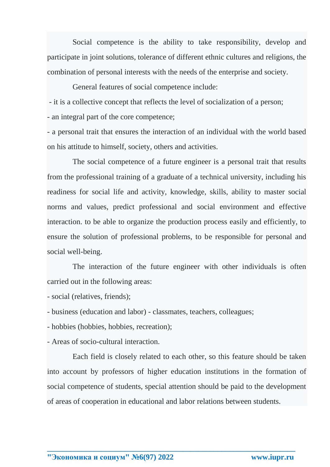Social competence is the ability to take responsibility, develop and participate in joint solutions, tolerance of different ethnic cultures and religions, the combination of personal interests with the needs of the enterprise and society.

General features of social competence include:

- it is a collective concept that reflects the level of socialization of a person;

- an integral part of the core competence;

- a personal trait that ensures the interaction of an individual with the world based on his attitude to himself, society, others and activities.

The social competence of a future engineer is a personal trait that results from the professional training of a graduate of a technical university, including his readiness for social life and activity, knowledge, skills, ability to master social norms and values, predict professional and social environment and effective interaction. to be able to organize the production process easily and efficiently, to ensure the solution of professional problems, to be responsible for personal and social well-being.

The interaction of the future engineer with other individuals is often carried out in the following areas:

- social (relatives, friends);

- business (education and labor) - classmates, teachers, colleagues;

- hobbies (hobbies, hobbies, recreation);

- Areas of socio-cultural interaction.

Each field is closely related to each other, so this feature should be taken into account by professors of higher education institutions in the formation of social competence of students, special attention should be paid to the development of areas of cooperation in educational and labor relations between students.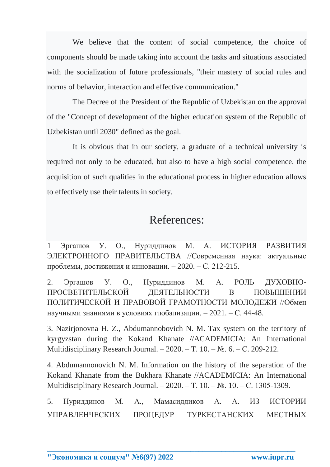We believe that the content of social competence, the choice of components should be made taking into account the tasks and situations associated with the socialization of future professionals, "their mastery of social rules and norms of behavior, interaction and effective communication."

The Decree of the President of the Republic of Uzbekistan on the approval of the "Concept of development of the higher education system of the Republic of Uzbekistan until 2030" defined as the goal.

It is obvious that in our society, a graduate of a technical university is required not only to be educated, but also to have a high social competence, the acquisition of such qualities in the educational process in higher education allows to effectively use their talents in society.

### References:

1 Эргашов У. О., Нуриддинов М. А. ИСТОРИЯ РАЗВИТИЯ ЭЛЕКТРОННОГО ПРАВИТЕЛЬСТВА //Современная наука: актуальные проблемы, достижения и инновации. – 2020. – С. 212-215.

2. Эргашов У. О., Нуриддинов М. А. РОЛЬ ДУХОВНО-ПРОСВЕТИТЕЛЬСКОЙ ДЕЯТЕЛЬНОСТИ В ПОВЫШЕНИИ ПОЛИТИЧЕСКОЙ И ПРАВОВОЙ ГРАМОТНОСТИ МОЛОДЕЖИ //Обмен научными знаниями в условиях глобализации. – 2021. – С. 44-48.

3. Nazirjonovna H. Z., Abdumannobovich N. M. Tax system on the territory of kyrgyzstan during the Kokand Khanate //ACADEMICIA: An International Multidisciplinary Research Journal. –  $2020$ . – T. 10. –  $\mathbb{N}_2$ . 6. – C. 209-212.

4. Abdumannonovich N. M. Information on the history of the separation of the Kokand Khanate from the Bukhara Khanate //ACADEMICIA: An International Multidisciplinary Research Journal. – 2020. – Т. 10. – №. 10. – С. 1305-1309.

5. Нуриддинов М. А., Мамасиддиков А. А. ИЗ ИСТОРИИ УПРАВЛЕНЧЕСКИХ ПРОЦЕДУР ТУРКЕСТАНСКИХ МЕСТНЫХ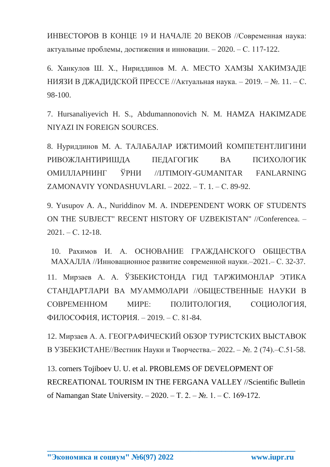ИНВЕСТОРОВ В КОНЦЕ 19 И НАЧАЛЕ 20 ВЕКОВ //Современная наука: актуальные проблемы, достижения и инновации. – 2020. – С. 117-122.

6. Ханкулов Ш. Х., Нириддинов М. А. МЕСТО ХАМЗЫ ХАКИМЗАДЕ НИЯЗИ В ДЖАДИДСКОЙ ПРЕССЕ //Актуальная наука. – 2019. – №. 11. – С. 98-100.

7. Hursanaliyevich H. S., Abdumannonovich N. M. HAMZA HAKIMZADE NIYAZI IN FOREIGN SOURCES.

8. Нуриддинов М. А. ТАЛАБАЛАР ИЖТИМОИЙ КОМПЕТЕНТЛИГИНИ РИВОЖЛАНТИРИШДА ПЕДАГОГИК ВА ПСИХОЛОГИК ОМИЛЛАРНИНГ ЎРНИ //IJTIMOIY-GUMANITAR FANLARNING ZAMONAVIY YONDASHUVLARI. – 2022. – Т. 1. – С. 89-92.

9. Yusupov A. A., Nuriddinov M. A. INDEPENDENT WORK OF STUDENTS ON THE SUBJECT" RECENT HISTORY OF UZBEKISTAN" //Conferencea. –  $2021. - C.$  12-18.

10. Рахимов И. А. ОСНОВАНИЕ ГРАЖДАНСКОГО ОБЩЕСТВА МАХАЛЛА //Инновационное развитие современной науки.–2021.– С. 32-37.

11. Мирзаев А. А. ЎЗБЕКИСТОНДА ГИД ТАРЖИМОНЛАР ЭТИКА СТАНДАРТЛАРИ ВА МУАММОЛАРИ //ОБЩЕСТВЕННЫЕ НАУКИ В СОВРЕМЕННОМ МИРЕ: ПОЛИТОЛОГИЯ, СОЦИОЛОГИЯ, ФИЛОСОФИЯ, ИСТОРИЯ. – 2019. – С. 81-84.

12. Мирзаев А. А. ГЕОГРАФИЧЕСКИЙ ОБЗОР ТУРИСТСКИХ ВЫСТАВОК В УЗБЕКИСТАНЕ//Вестник Науки и Творчества.– 2022. – №. 2 (74).–С.51-58.

13. corners Tojiboev U. U. et al. PROBLEMS OF DEVELOPMENT OF RECREATIONAL TOURISM IN THE FERGANA VALLEY //Scientific Bulletin of Namangan State University. – 2020. – Т. 2. – №. 1. – С. 169-172.